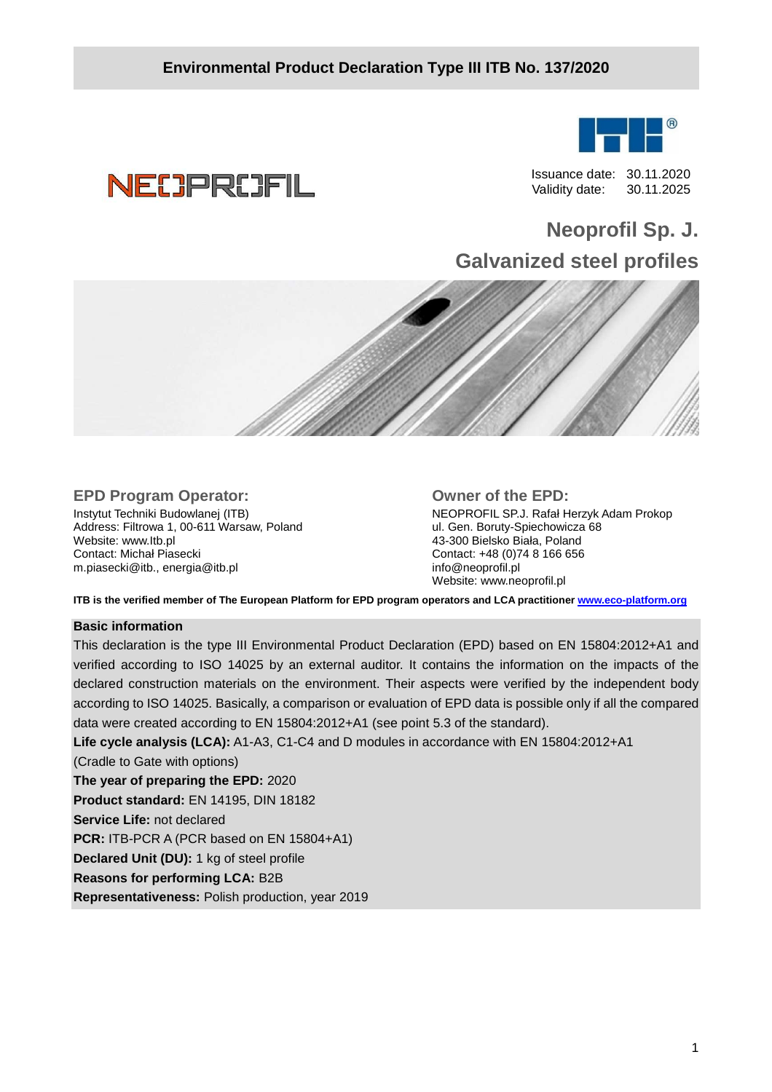

**NECPROFIL** 

 Issuance date: 30.11.2020 Validity date: 30.11.2025

# **Neoprofil Sp. J. Galvanized steel profiles**



# **EPD Program Operator:**

Instytut Techniki Budowlanej (ITB) Address: Filtrowa 1, 00-611 Warsaw, Poland Website: www.Itb.pl Contact: Michał Piasecki m.piasecki@itb., energia@itb.pl

#### **Owner of the EPD:**

NEOPROFIL SP.J. Rafał Herzyk Adam Prokop ul. Gen. Boruty-Spiechowicza 68 43-300 Bielsko Biała, Poland Contact: +48 (0)74 8 166 656 info@neoprofil.pl Website: www.neoprofil.pl

**ITB is the verified member of The European Platform for EPD program operators and LCA practitioner www.eco-platform.org** 

#### **Basic information**

This declaration is the type III Environmental Product Declaration (EPD) based on EN 15804:2012+A1 and verified according to ISO 14025 by an external auditor. It contains the information on the impacts of the declared construction materials on the environment. Their aspects were verified by the independent body according to ISO 14025. Basically, a comparison or evaluation of EPD data is possible only if all the compared data were created according to EN 15804:2012+A1 (see point 5.3 of the standard).

**Life cycle analysis (LCA):** A1-A3, C1-C4 and D modules in accordance with EN 15804:2012+A1

(Cradle to Gate with options) **The year of preparing the EPD:** 2020 **Product standard:** EN 14195, DIN 18182 **Service Life:** not declared **PCR:** ITB-PCR A (PCR based on EN 15804+A1) **Declared Unit (DU):** 1 kg of steel profile **Reasons for performing LCA:** B2B

**Representativeness:** Polish production, year 2019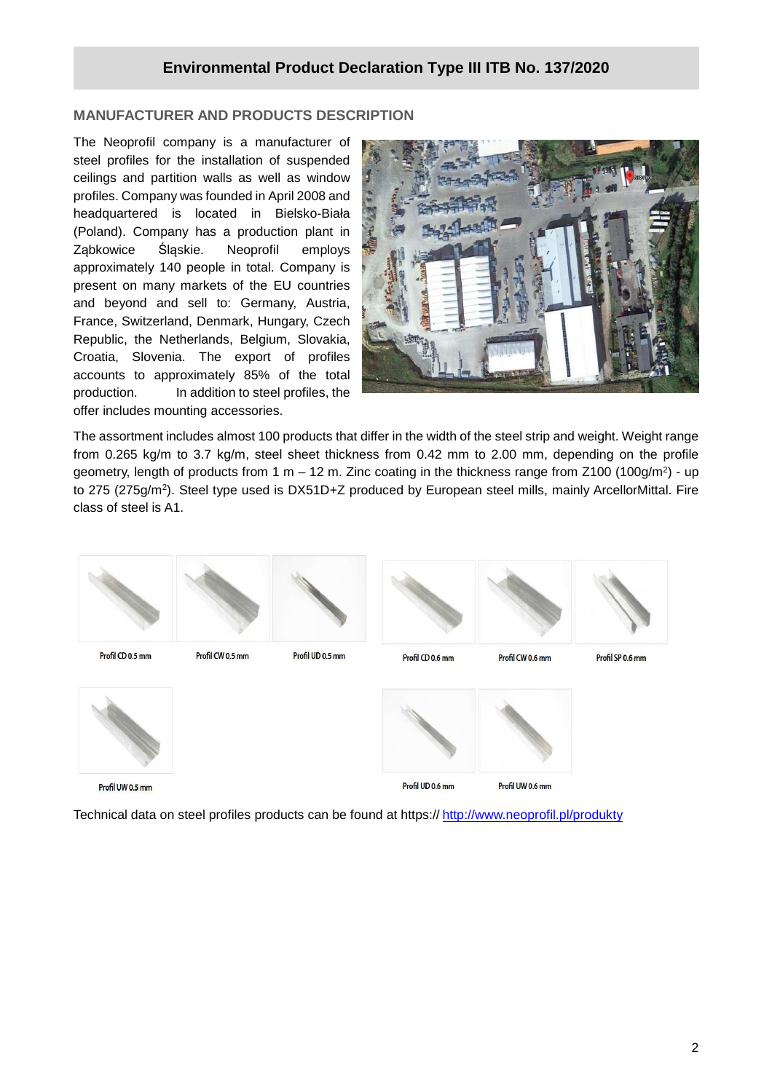# **MANUFACTURER AND PRODUCTS DESCRIPTION**

The Neoprofil company is a manufacturer of steel profiles for the installation of suspended ceilings and partition walls as well as window profiles. Company was founded in April 2008 and headquartered is located in Bielsko-Biała (Poland). Company has a production plant in Ząbkowice Śląskie. Neoprofil employs approximately 140 people in total. Company is present on many markets of the EU countries and beyond and sell to: Germany, Austria, France, Switzerland, Denmark, Hungary, Czech Republic, the Netherlands, Belgium, Slovakia, Croatia, Slovenia. The export of profiles accounts to approximately 85% of the total production. In addition to steel profiles, the offer includes mounting accessories.



The assortment includes almost 100 products that differ in the width of the steel strip and weight. Weight range from 0.265 kg/m to 3.7 kg/m, steel sheet thickness from 0.42 mm to 2.00 mm, depending on the profile geometry, length of products from 1 m – 12 m. Zinc coating in the thickness range from Z100 (100g/m<sup>2</sup>) - up to 275 (275g/m<sup>2</sup>). Steel type used is DX51D+Z produced by European steel mills, mainly ArcellorMittal. Fire class of steel is A1.



Technical data on steel profiles products can be found at https:// http://www.neoprofil.pl/produkty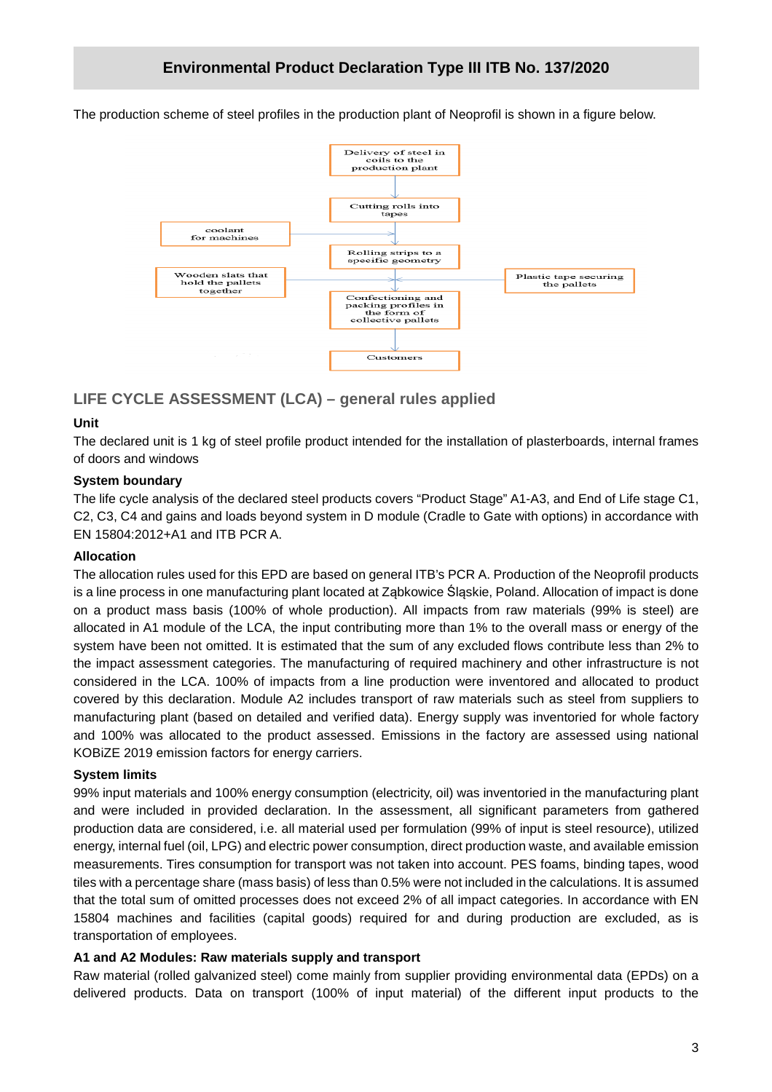The production scheme of steel profiles in the production plant of Neoprofil is shown in a figure below.



# **LIFE CYCLE ASSESSMENT (LCA) – general rules applied**

#### **Unit**

The declared unit is 1 kg of steel profile product intended for the installation of plasterboards, internal frames of doors and windows

## **System boundary**

The life cycle analysis of the declared steel products covers "Product Stage" A1-A3, and End of Life stage C1, C2, C3, C4 and gains and loads beyond system in D module (Cradle to Gate with options) in accordance with EN 15804:2012+A1 and ITB PCR A.

#### **Allocation**

The allocation rules used for this EPD are based on general ITB's PCR A. Production of the Neoprofil products is a line process in one manufacturing plant located at Ząbkowice Śląskie, Poland. Allocation of impact is done on a product mass basis (100% of whole production). All impacts from raw materials (99% is steel) are allocated in A1 module of the LCA, the input contributing more than 1% to the overall mass or energy of the system have been not omitted. It is estimated that the sum of any excluded flows contribute less than 2% to the impact assessment categories. The manufacturing of required machinery and other infrastructure is not considered in the LCA. 100% of impacts from a line production were inventored and allocated to product covered by this declaration. Module A2 includes transport of raw materials such as steel from suppliers to manufacturing plant (based on detailed and verified data). Energy supply was inventoried for whole factory and 100% was allocated to the product assessed. Emissions in the factory are assessed using national KOBiZE 2019 emission factors for energy carriers.

#### **System limits**

99% input materials and 100% energy consumption (electricity, oil) was inventoried in the manufacturing plant and were included in provided declaration. In the assessment, all significant parameters from gathered production data are considered, i.e. all material used per formulation (99% of input is steel resource), utilized energy, internal fuel (oil, LPG) and electric power consumption, direct production waste, and available emission measurements. Tires consumption for transport was not taken into account. PES foams, binding tapes, wood tiles with a percentage share (mass basis) of less than 0.5% were not included in the calculations. It is assumed that the total sum of omitted processes does not exceed 2% of all impact categories. In accordance with EN 15804 machines and facilities (capital goods) required for and during production are excluded, as is transportation of employees.

## **A1 and A2 Modules: Raw materials supply and transport**

Raw material (rolled galvanized steel) come mainly from supplier providing environmental data (EPDs) on a delivered products. Data on transport (100% of input material) of the different input products to the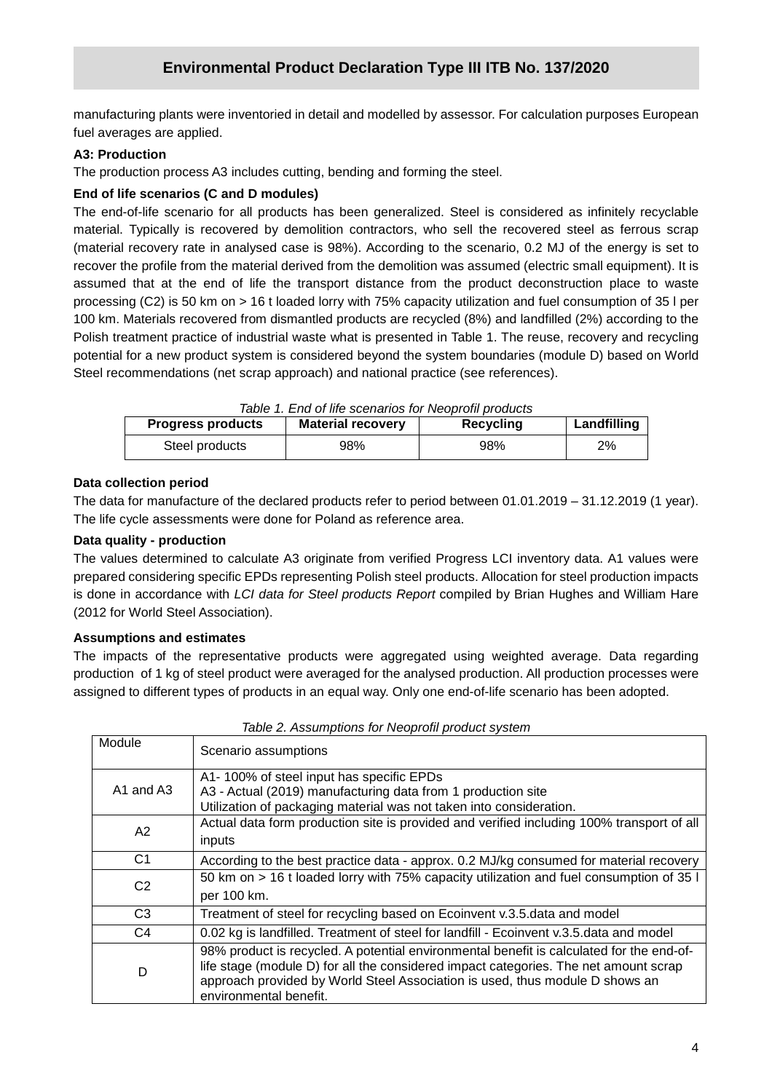manufacturing plants were inventoried in detail and modelled by assessor. For calculation purposes European fuel averages are applied.

## **A3: Production**

The production process A3 includes cutting, bending and forming the steel.

## **End of life scenarios (C and D modules)**

The end-of-life scenario for all products has been generalized. Steel is considered as infinitely recyclable material. Typically is recovered by demolition contractors, who sell the recovered steel as ferrous scrap (material recovery rate in analysed case is 98%). According to the scenario, 0.2 MJ of the energy is set to recover the profile from the material derived from the demolition was assumed (electric small equipment). It is assumed that at the end of life the transport distance from the product deconstruction place to waste processing (C2) is 50 km on > 16 t loaded lorry with 75% capacity utilization and fuel consumption of 35 l per 100 km. Materials recovered from dismantled products are recycled (8%) and landfilled (2%) according to the Polish treatment practice of industrial waste what is presented in Table 1. The reuse, recovery and recycling potential for a new product system is considered beyond the system boundaries (module D) based on World Steel recommendations (net scrap approach) and national practice (see references).

| Table 1. End of life scenarios for Neoprofil products |                          |           |             |  |  |  |  |
|-------------------------------------------------------|--------------------------|-----------|-------------|--|--|--|--|
| <b>Progress products</b>                              | <b>Material recovery</b> | Recycling | Landfilling |  |  |  |  |
| Steel products                                        | 98%                      | 98%       | 2%          |  |  |  |  |

#### **Data collection period**

The data for manufacture of the declared products refer to period between 01.01.2019 – 31.12.2019 (1 year). The life cycle assessments were done for Poland as reference area.

#### **Data quality - production**

The values determined to calculate A3 originate from verified Progress LCI inventory data. A1 values were prepared considering specific EPDs representing Polish steel products. Allocation for steel production impacts is done in accordance with LCI data for Steel products Report compiled by Brian Hughes and William Hare (2012 for World Steel Association).

#### **Assumptions and estimates**

The impacts of the representative products were aggregated using weighted average. Data regarding production of 1 kg of steel product were averaged for the analysed production. All production processes were assigned to different types of products in an equal way. Only one end-of-life scenario has been adopted.

|                | <u>RODIO E. Algorithmotio Tor Algorithm product of glorith</u>                                                                                                                                                                                                                             |
|----------------|--------------------------------------------------------------------------------------------------------------------------------------------------------------------------------------------------------------------------------------------------------------------------------------------|
| Module         | Scenario assumptions                                                                                                                                                                                                                                                                       |
| A1 and A3      | A1-100% of steel input has specific EPDs<br>A3 - Actual (2019) manufacturing data from 1 production site<br>Utilization of packaging material was not taken into consideration.                                                                                                            |
| A <sub>2</sub> | Actual data form production site is provided and verified including 100% transport of all<br>inputs                                                                                                                                                                                        |
| C <sub>1</sub> | According to the best practice data - approx. 0.2 MJ/kg consumed for material recovery                                                                                                                                                                                                     |
| C <sub>2</sub> | 50 km on > 16 t loaded lorry with 75% capacity utilization and fuel consumption of 35 l<br>per 100 km.                                                                                                                                                                                     |
| C <sub>3</sub> | Treatment of steel for recycling based on Ecoinvent v.3.5. data and model                                                                                                                                                                                                                  |
| C4             | 0.02 kg is landfilled. Treatment of steel for landfill - Ecoinvent v.3.5.data and model                                                                                                                                                                                                    |
| D              | 98% product is recycled. A potential environmental benefit is calculated for the end-of-<br>life stage (module D) for all the considered impact categories. The net amount scrap<br>approach provided by World Steel Association is used, thus module D shows an<br>environmental benefit. |

Table 2. Assumptions for Neoprofil product system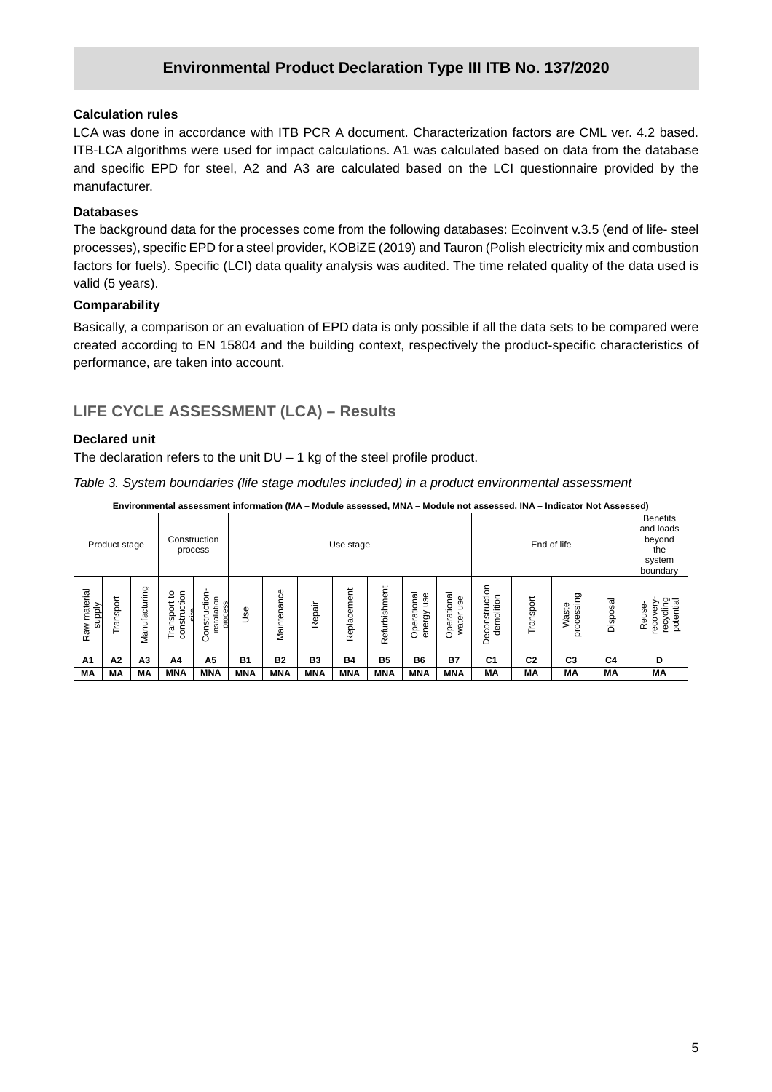# **Environmental Product Declaration Type III ITB No. 137/2020**

#### **Calculation rules**

LCA was done in accordance with ITB PCR A document. Characterization factors are CML ver. 4.2 based. ITB-LCA algorithms were used for impact calculations. A1 was calculated based on data from the database and specific EPD for steel, A2 and A3 are calculated based on the LCI questionnaire provided by the manufacturer.

#### **Databases**

The background data for the processes come from the following databases: Ecoinvent v.3.5 (end of life- steel processes), specific EPD for a steel provider, KOBiZE (2019) and Tauron (Polish electricity mix and combustion factors for fuels). Specific (LCI) data quality analysis was audited. The time related quality of the data used is valid (5 years).

#### **Comparability**

Basically, a comparison or an evaluation of EPD data is only possible if all the data sets to be compared were created according to EN 15804 and the building context, respectively the product-specific characteristics of performance, are taken into account.

# **LIFE CYCLE ASSESSMENT (LCA) – Results**

#### **Declared unit**

The declaration refers to the unit  $DU - 1$  kg of the steel profile product.

Table 3. System boundaries (life stage modules included) in a product environmental assessment

|                        | Environmental assessment information (MA - Module assessed, MNA - Module not assessed, INA - Indicator Not Assessed) |                |                                     |                                         |            |                          |            |             |               |                              |                             |                                                                     |                |                     |          |                                              |
|------------------------|----------------------------------------------------------------------------------------------------------------------|----------------|-------------------------------------|-----------------------------------------|------------|--------------------------|------------|-------------|---------------|------------------------------|-----------------------------|---------------------------------------------------------------------|----------------|---------------------|----------|----------------------------------------------|
|                        | Product stage                                                                                                        |                |                                     | Construction<br>process                 |            | End of life<br>Use stage |            |             |               |                              |                             | <b>Benefits</b><br>and loads<br>beyond<br>the<br>system<br>boundary |                |                     |          |                                              |
| Raw material<br>supply | Fransport                                                                                                            | Manufacturing  | construction<br>ి<br>Transport<br>Ě | Construction<br>installation<br>process | <u>se</u>  | Maintenance              | Repair     | Replacement | Refurbishment | Operational<br>use<br>energy | Operational<br>use<br>water | Deconstruction<br>demolition                                        | Transport      | processing<br>Waste | Disposal | recycling<br>potential<br>recovery<br>Reuse- |
| A1                     | A <sub>2</sub>                                                                                                       | A <sub>3</sub> | A4                                  | A5                                      | <b>B1</b>  | <b>B2</b>                | <b>B3</b>  | <b>B4</b>   | <b>B5</b>     | <b>B6</b>                    | Β7                          | C <sub>1</sub>                                                      | C <sub>2</sub> | C <sub>3</sub>      | C4       | D                                            |
| МA                     | МA                                                                                                                   | МA             | <b>MNA</b>                          | <b>MNA</b>                              | <b>MNA</b> | <b>MNA</b>               | <b>MNA</b> | <b>MNA</b>  | <b>MNA</b>    | <b>MNA</b>                   | <b>MNA</b>                  | МA                                                                  | MА             | MА                  | МA       | МA                                           |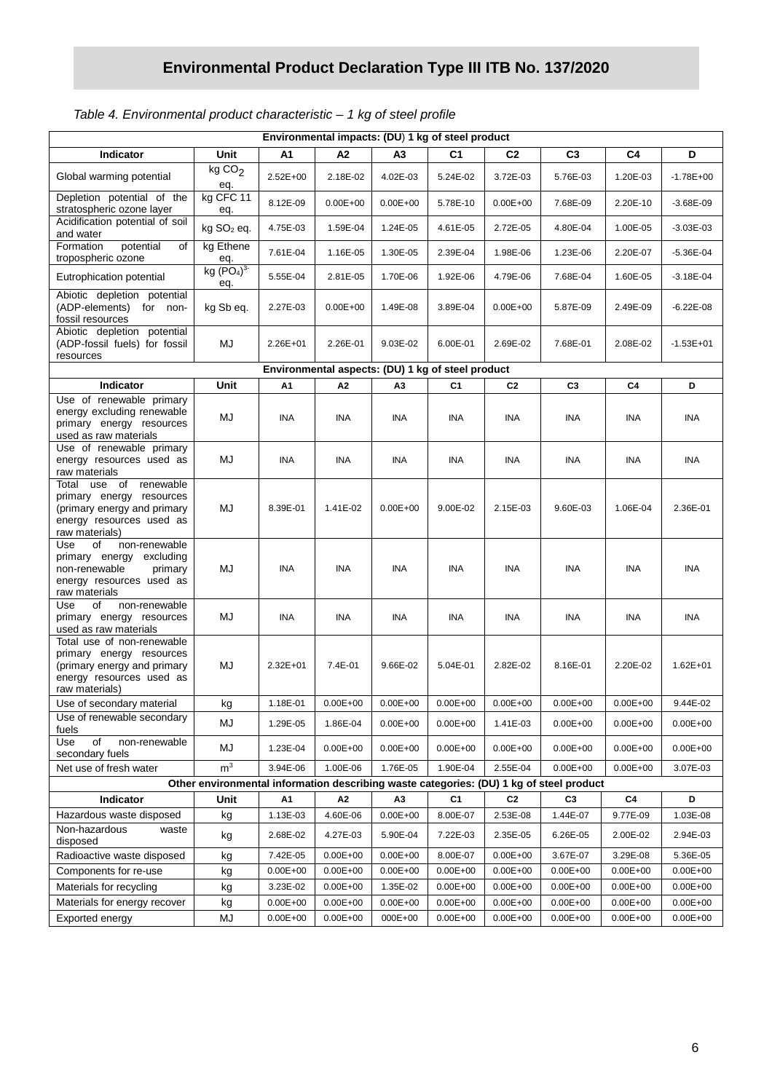# **Environmental Product Declaration Type III ITB No. 137/2020**

# Table 4. Environmental product characteristic – 1 kg of steel profile

| Environmental impacts: (DU) 1 kg of steel product                                                                                   |                                           |              |                                                   |                |                |                |                |                |               |
|-------------------------------------------------------------------------------------------------------------------------------------|-------------------------------------------|--------------|---------------------------------------------------|----------------|----------------|----------------|----------------|----------------|---------------|
| Indicator                                                                                                                           | Unit                                      | A1           | A2                                                | A3             | C <sub>1</sub> | C <sub>2</sub> | C <sub>3</sub> | C4             | D             |
| Global warming potential                                                                                                            | kgCO <sub>2</sub><br>eq.                  | 2.52E+00     | 2.18E-02                                          | 4.02E-03       | 5.24E-02       | 3.72E-03       | 5.76E-03       | 1.20E-03       | $-1.78E + 00$ |
| Depletion potential of the<br>stratospheric ozone layer                                                                             | kg CFC 11<br>eq.                          | 8.12E-09     | $0.00E + 00$                                      | $0.00E + 00$   | 5.78E-10       | $0.00E + 00$   | 7.68E-09       | 2.20E-10       | $-3.68E - 09$ |
| Acidification potential of soil<br>and water                                                                                        | kg SO <sub>2</sub> eq.                    | 4.75E-03     | 1.59E-04                                          | 1.24E-05       | 4.61E-05       | 2.72E-05       | 4.80E-04       | 1.00E-05       | $-3.03E - 03$ |
| Formation<br>potential<br>of<br>tropospheric ozone                                                                                  | kg Ethene<br>eq.                          | 7.61E-04     | 1.16E-05                                          | 1.30E-05       | 2.39E-04       | 1.98E-06       | 1.23E-06       | 2.20E-07       | $-5.36E - 04$ |
| Eutrophication potential                                                                                                            | kg (PO <sub>4</sub> ) <sup>3</sup><br>eq. | 5.55E-04     | 2.81E-05                                          | 1.70E-06       | 1.92E-06       | 4.79E-06       | 7.68E-04       | 1.60E-05       | $-3.18E - 04$ |
| Abiotic depletion potential<br>(ADP-elements) for non-<br>fossil resources                                                          | kg Sb eq.                                 | 2.27E-03     | $0.00E + 00$                                      | 1.49E-08       | 3.89E-04       | $0.00E + 00$   | 5.87E-09       | 2.49E-09       | $-6.22E - 08$ |
| Abiotic depletion potential<br>(ADP-fossil fuels) for fossil<br>resources                                                           | MJ                                        | 2.26E+01     | 2.26E-01                                          | 9.03E-02       | 6.00E-01       | 2.69E-02       | 7.68E-01       | 2.08E-02       | $-1.53E + 01$ |
|                                                                                                                                     |                                           |              | Environmental aspects: (DU) 1 kg of steel product |                |                |                |                |                |               |
| Indicator                                                                                                                           | Unit                                      | A1           | A2                                                | A <sub>3</sub> | C <sub>1</sub> | C <sub>2</sub> | C <sub>3</sub> | C4             | D             |
| Use of renewable primary<br>energy excluding renewable<br>primary energy resources<br>used as raw materials                         | MJ                                        | INA          | INA                                               | INA            | <b>INA</b>     | <b>INA</b>     | ina            | INA            | INA           |
| Use of renewable primary<br>energy resources used as<br>raw materials                                                               | MJ                                        | <b>INA</b>   | <b>INA</b>                                        | INA.           | INA            | <b>INA</b>     | INA.           | <b>INA</b>     | INA           |
| renewable<br>Total use of<br>primary energy resources<br>(primary energy and primary<br>energy resources used as<br>raw materials)  | MJ                                        | 8.39E-01     | 1.41E-02                                          | $0.00E + 00$   | 9.00E-02       | 2.15E-03       | 9.60E-03       | 1.06E-04       | 2.36E-01      |
| Use<br>οf<br>non-renewable<br>primary energy excluding<br>non-renewable<br>primary<br>energy resources used as<br>raw materials     | MJ                                        | <b>INA</b>   | <b>INA</b>                                        | INA            | <b>INA</b>     | <b>INA</b>     | <b>INA</b>     | <b>INA</b>     | INA           |
| οf<br>non-renewable<br>Use<br>primary energy resources<br>used as raw materials                                                     | MJ                                        | <b>INA</b>   | INA                                               | INA.           | <b>INA</b>     | INA            | INA.           | INA            | INA           |
| Total use of non-renewable<br>primary energy resources<br>(primary energy and primary<br>energy resources used as<br>raw materials) | MJ                                        | $2.32E + 01$ | 7.4E-01                                           | 9.66E-02       | 5.04E-01       | 2.82E-02       | 8.16E-01       | 2.20E-02       | $1.62E + 01$  |
| Use of secondary material                                                                                                           | kg                                        | 1.18E-01     | $0.00E + 00$                                      | $0.00E + 00$   | $0.00E + 00$   | $0.00E + 00$   | $0.00E + 00$   | $0.00E + 00$   | 9.44E-02      |
| Use of renewable secondary<br>fuels                                                                                                 | MJ                                        | 1.29E-05     | 1.86E-04                                          | $0.00E + 00$   | $0.00E + 00$   | 1.41E-03       | $0.00E + 00$   | $0.00E + 00$   | $0.00E + 00$  |
| of<br>non-renewable<br>Use<br>secondary fuels                                                                                       | MJ                                        | 1.23E-04     | $0.00E + 00$                                      | $0.00E + 00$   | $0.00E + 00$   | $0.00E + 00$   | $0.00E + 00$   | $0.00E + 00$   | $0.00E + 00$  |
| Net use of fresh water                                                                                                              | $\mathsf{m}^3$                            | 3.94E-06     | 1.00E-06                                          | 1.76E-05       | 1.90E-04       | 2.55E-04       | $0.00E + 00$   | $0.00E + 00$   | 3.07E-03      |
| Other environmental information describing waste categories: (DU) 1 kg of steel product                                             |                                           |              |                                                   |                |                |                |                |                |               |
| Indicator                                                                                                                           | Unit                                      | A1           | A2                                                | A <sub>3</sub> | C1             | C <sub>2</sub> | C3             | C <sub>4</sub> | D             |
| Hazardous waste disposed                                                                                                            | kg                                        | 1.13E-03     | 4.60E-06                                          | $0.00E + 00$   | 8.00E-07       | 2.53E-08       | 1.44E-07       | 9.77E-09       | 1.03E-08      |
| Non-hazardous<br>waste<br>disposed                                                                                                  | kg                                        | 2.68E-02     | 4.27E-03                                          | 5.90E-04       | 7.22E-03       | 2.35E-05       | 6.26E-05       | 2.00E-02       | 2.94E-03      |
| Radioactive waste disposed                                                                                                          | kg                                        | 7.42E-05     | $0.00E + 00$                                      | $0.00E + 00$   | 8.00E-07       | $0.00E + 00$   | 3.67E-07       | 3.29E-08       | 5.36E-05      |
| Components for re-use                                                                                                               | kg                                        | $0.00E + 00$ | $0.00E + 00$                                      | $0.00E + 00$   | $0.00E + 00$   | $0.00E + 00$   | $0.00E + 00$   | $0.00E + 00$   | $0.00E + 00$  |
| Materials for recycling                                                                                                             | kg                                        | 3.23E-02     | $0.00E + 00$                                      | 1.35E-02       | $0.00E + 00$   | $0.00E + 00$   | $0.00E + 00$   | $0.00E + 00$   | $0.00E + 00$  |
| Materials for energy recover                                                                                                        | kg                                        | $0.00E + 00$ | $0.00E + 00$                                      | $0.00E + 00$   | $0.00E + 00$   | $0.00E + 00$   | $0.00E + 00$   | $0.00E + 00$   | $0.00E + 00$  |
| Exported energy                                                                                                                     | MJ                                        | $0.00E + 00$ | $0.00E + 00$                                      | 000E+00        | $0.00E + 00$   | $0.00E + 00$   | $0.00E + 00$   | $0.00E + 00$   | $0.00E + 00$  |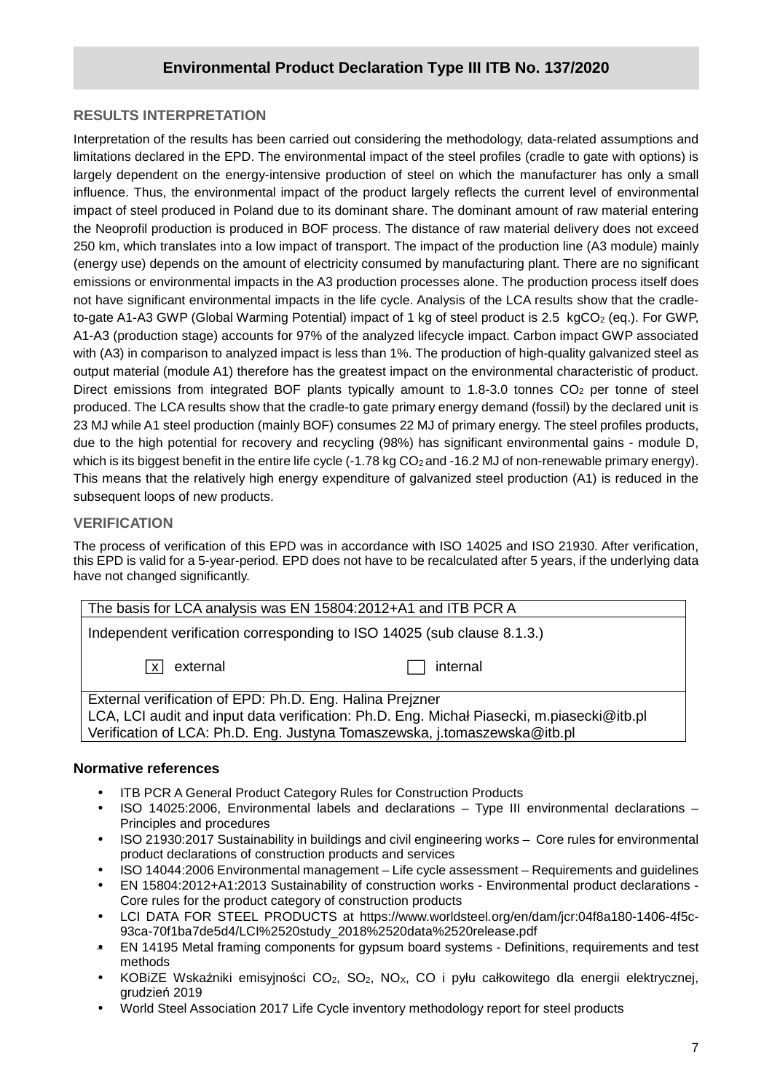# **RESULTS INTERPRETATION**

Interpretation of the results has been carried out considering the methodology, data-related assumptions and limitations declared in the EPD. The environmental impact of the steel profiles (cradle to gate with options) is largely dependent on the energy-intensive production of steel on which the manufacturer has only a small influence. Thus, the environmental impact of the product largely reflects the current level of environmental impact of steel produced in Poland due to its dominant share. The dominant amount of raw material entering the Neoprofil production is produced in BOF process. The distance of raw material delivery does not exceed 250 km, which translates into a low impact of transport. The impact of the production line (A3 module) mainly (energy use) depends on the amount of electricity consumed by manufacturing plant. There are no significant emissions or environmental impacts in the A3 production processes alone. The production process itself does not have significant environmental impacts in the life cycle. Analysis of the LCA results show that the cradleto-gate A1-A3 GWP (Global Warming Potential) impact of 1 kg of steel product is 2.5 kgCO<sub>2</sub> (eq.). For GWP, A1-A3 (production stage) accounts for 97% of the analyzed lifecycle impact. Carbon impact GWP associated with (A3) in comparison to analyzed impact is less than 1%. The production of high-quality galvanized steel as output material (module A1) therefore has the greatest impact on the environmental characteristic of product. Direct emissions from integrated BOF plants typically amount to 1.8-3.0 tonnes CO<sub>2</sub> per tonne of steel produced. The LCA results show that the cradle-to gate primary energy demand (fossil) by the declared unit is 23 MJ while A1 steel production (mainly BOF) consumes 22 MJ of primary energy. The steel profiles products, due to the high potential for recovery and recycling (98%) has significant environmental gains - module D, which is its biggest benefit in the entire life cycle (-1.78 kg CO<sub>2</sub> and -16.2 MJ of non-renewable primary energy). This means that the relatively high energy expenditure of galvanized steel production (A1) is reduced in the subsequent loops of new products.

## **VERIFICATION**

The process of verification of this EPD was in accordance with ISO 14025 and ISO 21930. After verification, this EPD is valid for a 5-year-period. EPD does not have to be recalculated after 5 years, if the underlying data have not changed significantly.

| The basis for LCA analysis was EN 15804:2012+A1 and ITB PCR A                                                                                                                                                                      |          |  |  |  |  |  |
|------------------------------------------------------------------------------------------------------------------------------------------------------------------------------------------------------------------------------------|----------|--|--|--|--|--|
| Independent verification corresponding to ISO 14025 (sub clause 8.1.3.)                                                                                                                                                            |          |  |  |  |  |  |
| external<br>∣ x l                                                                                                                                                                                                                  | internal |  |  |  |  |  |
| External verification of EPD: Ph.D. Eng. Halina Preizner<br>LCA, LCI audit and input data verification: Ph.D. Eng. Michal Piasecki, m.piasecki@itb.pl<br>Verification of LCA: Ph.D. Eng. Justyna Tomaszewska, j.tomaszewska@itb.pl |          |  |  |  |  |  |

#### **Normative references**

- ITB PCR A General Product Category Rules for Construction Products
- ISO 14025:2006, Environmental labels and declarations Type III environmental declarations Principles and procedures
- ISO 21930:2017 Sustainability in buildings and civil engineering works Core rules for environmental product declarations of construction products and services
- ISO 14044:2006 Environmental management Life cycle assessment Requirements and guidelines
- EN 15804:2012+A1:2013 Sustainability of construction works Environmental product declarations Core rules for the product category of construction products
- LCI DATA FOR STEEL PRODUCTS at https://www.worldsteel.org/en/dam/jcr:04f8a180-1406-4f5c-93ca-70f1ba7de5d4/LCI%2520study\_2018%2520data%2520release.pdf
- EN 14195 Metal framing components for gypsum board systems Definitions, requirements and test methods
- KOBiZE Wskaźniki emisyjności CO2, SO2, NOX, CO i pyłu całkowitego dla energii elektrycznej, grudzień 2019
- World Steel Association 2017 Life Cycle inventory methodology report for steel products